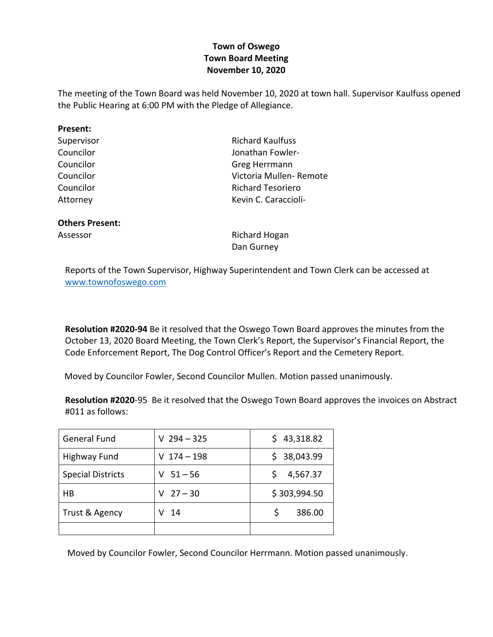## **Town of Oswego Town Board Meeting November 10, 2020**

The meeting of the Town Board was held November 10, 2020 at town hall. Supervisor Kaulfuss opened the Public Hearing at 6:00 PM with the Pledge of Allegiance.

| Present:                         |                         |  |  |
|----------------------------------|-------------------------|--|--|
| Supervisor                       | <b>Richard Kaulfuss</b> |  |  |
| Councilor                        | Jonathan Fowler-        |  |  |
| Councilor                        | Greg Herrmann           |  |  |
| Councilor                        | Victoria Mullen- Remote |  |  |
| Councilor                        | Richard Tesoriero       |  |  |
| Attorney                         | Kevin C. Caraccioli-    |  |  |
| <b>Others Present:</b>           |                         |  |  |
| <b>Richard Hogan</b><br>Assessor |                         |  |  |

Dan Gurney

Reports of the Town Supervisor, Highway Superintendent and Town Clerk can be accessed at www.townofoswego.com

**Resolution #2020-94** Be it resolved that the Oswego Town Board approves the minutes from the October 13, 2020 Board Meeting, the Town Clerk's Report, the Supervisor's Financial Report, the Code Enforcement Report, The Dog Control Officer's Report and the Cemetery Report.

Moved by Councilor Fowler, Second Councilor Mullen. Motion passed unanimously.

**Resolution #2020**-95 Be it resolved that the Oswego Town Board approves the invoices on Abstract #011 as follows:

| <b>General Fund</b>      | $V$ 294 - 325  | 43,318.82<br>S. |  |
|--------------------------|----------------|-----------------|--|
| <b>Highway Fund</b>      | $174 - 198$    | \$38,043.99     |  |
| <b>Special Districts</b> | $51 - 56$      | 4,567.37        |  |
| HB                       | $27 - 30$<br>v | \$303,994.50    |  |
| Trust & Agency           | 14             | 386.00          |  |
|                          |                |                 |  |

Moved by Councilor Fowler, Second Councilor Herrmann. Motion passed unanimously.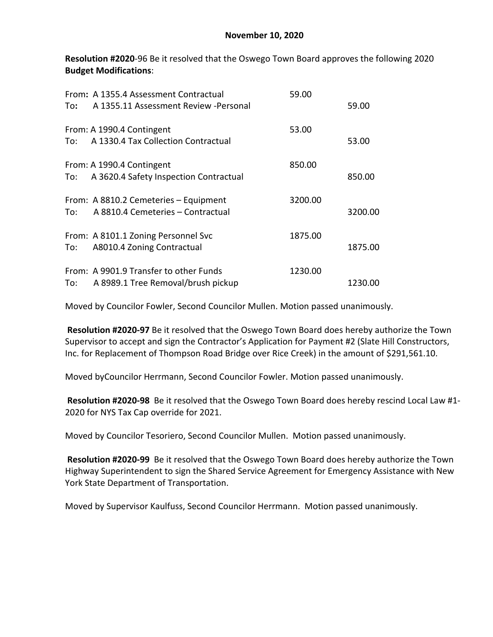**Resolution #2020**-96 Be it resolved that the Oswego Town Board approves the following 2020 **Budget Modifications**:

| To:    | From: A 1355.4 Assessment Contractual<br>A 1355.11 Assessment Review - Personal | 59.00   | 59.00   |
|--------|---------------------------------------------------------------------------------|---------|---------|
| To:    | From: A 1990.4 Contingent<br>A 1330.4 Tax Collection Contractual                | 53.00   | 53.00   |
| To:    | From: A 1990.4 Contingent<br>A 3620.4 Safety Inspection Contractual             | 850.00  | 850.00  |
| To:    | From: A 8810.2 Cemeteries - Equipment<br>A 8810.4 Cemeteries - Contractual      | 3200.00 | 3200.00 |
| To: To | From: A 8101.1 Zoning Personnel Svc<br>A8010.4 Zoning Contractual               | 1875.00 | 1875.00 |
| To:    | From: A 9901.9 Transfer to other Funds<br>A 8989.1 Tree Removal/brush pickup    | 1230.00 | 1230.00 |

Moved by Councilor Fowler, Second Councilor Mullen. Motion passed unanimously.

**Resolution #2020-97** Be it resolved that the Oswego Town Board does hereby authorize the Town Supervisor to accept and sign the Contractor's Application for Payment #2 (Slate Hill Constructors, Inc. for Replacement of Thompson Road Bridge over Rice Creek) in the amount of \$291,561.10.

Moved byCouncilor Herrmann, Second Councilor Fowler. Motion passed unanimously.

**Resolution #2020-98** Be it resolved that the Oswego Town Board does hereby rescind Local Law #1- 2020 for NYS Tax Cap override for 2021.

Moved by Councilor Tesoriero, Second Councilor Mullen. Motion passed unanimously.

**Resolution #2020-99** Be it resolved that the Oswego Town Board does hereby authorize the Town Highway Superintendent to sign the Shared Service Agreement for Emergency Assistance with New York State Department of Transportation.

Moved by Supervisor Kaulfuss, Second Councilor Herrmann. Motion passed unanimously.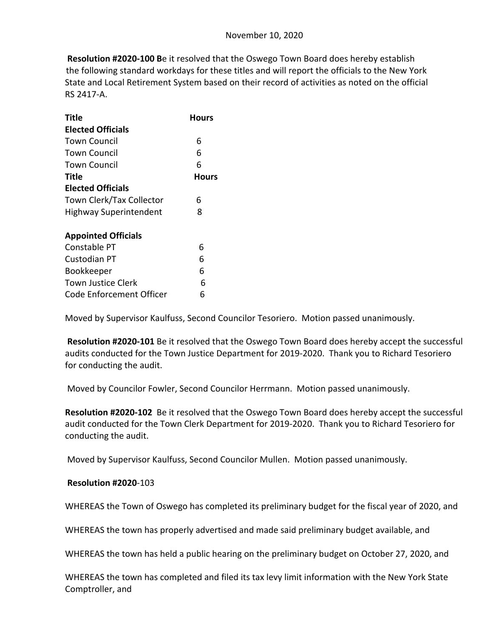**Resolution #2020-100 B**e it resolved that the Oswego Town Board does hereby establish the following standard workdays for these titles and will report the officials to the New York State and Local Retirement System based on their record of activities as noted on the official RS 2417-A.

| Title                           | Hours |  |
|---------------------------------|-------|--|
| <b>Elected Officials</b>        |       |  |
| Town Council                    | 6     |  |
| Town Council                    | 6     |  |
| Town Council                    | 6     |  |
| Title                           | Hours |  |
| <b>Elected Officials</b>        |       |  |
| <b>Town Clerk/Tax Collector</b> | 6     |  |
| <b>Highway Superintendent</b>   | 8     |  |
| <b>Appointed Officials</b>      |       |  |
| Constable PT                    | 6     |  |
| Custodian PT                    | 6     |  |
| Bookkeeper                      | 6     |  |
| <b>Town Justice Clerk</b>       | 6     |  |
| Code Enforcement Officer        | 6     |  |

Moved by Supervisor Kaulfuss, Second Councilor Tesoriero. Motion passed unanimously.

**Resolution #2020-101** Be it resolved that the Oswego Town Board does hereby accept the successful audits conducted for the Town Justice Department for 2019-2020. Thank you to Richard Tesoriero for conducting the audit.

Moved by Councilor Fowler, Second Councilor Herrmann. Motion passed unanimously.

**Resolution #2020-102** Be it resolved that the Oswego Town Board does hereby accept the successful audit conducted for the Town Clerk Department for 2019-2020. Thank you to Richard Tesoriero for conducting the audit.

Moved by Supervisor Kaulfuss, Second Councilor Mullen. Motion passed unanimously.

## **Resolution #2020**-103

WHEREAS the Town of Oswego has completed its preliminary budget for the fiscal year of 2020, and

WHEREAS the town has properly advertised and made said preliminary budget available, and

WHEREAS the town has held a public hearing on the preliminary budget on October 27, 2020, and

WHEREAS the town has completed and filed its tax levy limit information with the New York State Comptroller, and